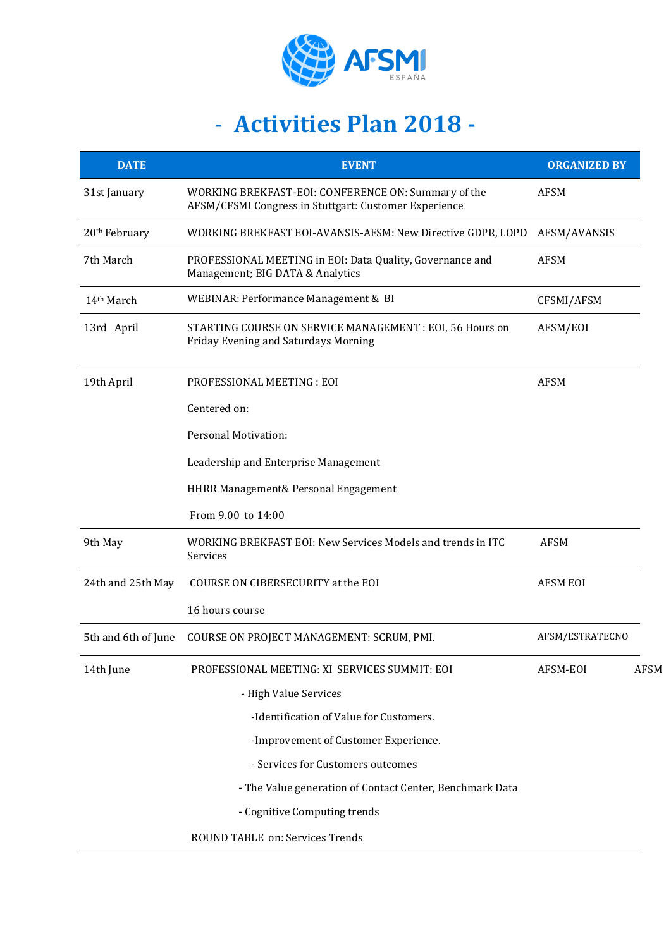

## - **Activities Plan 2018 -**

| <b>DATE</b>               | <b>EVENT</b>                                                                                                 | <b>ORGANIZED BY</b> |             |
|---------------------------|--------------------------------------------------------------------------------------------------------------|---------------------|-------------|
| 31st January              | WORKING BREKFAST-EOI: CONFERENCE ON: Summary of the<br>AFSM/CFSMI Congress in Stuttgart: Customer Experience | <b>AFSM</b>         |             |
| 20 <sup>th</sup> February | WORKING BREKFAST EOI-AVANSIS-AFSM: New Directive GDPR, LOPD                                                  | AFSM/AVANSIS        |             |
| 7th March                 | PROFESSIONAL MEETING in EOI: Data Quality, Governance and<br>Management; BIG DATA & Analytics                | <b>AFSM</b>         |             |
| 14 <sup>th</sup> March    | WEBINAR: Performance Management & BI                                                                         | CFSMI/AFSM          |             |
| 13rd April                | STARTING COURSE ON SERVICE MANAGEMENT : EOI, 56 Hours on<br>Friday Evening and Saturdays Morning             | AFSM/EOI            |             |
| 19th April                | PROFESSIONAL MEETING : EOI                                                                                   | <b>AFSM</b>         |             |
|                           | Centered on:                                                                                                 |                     |             |
|                           | Personal Motivation:                                                                                         |                     |             |
|                           | Leadership and Enterprise Management                                                                         |                     |             |
|                           | HHRR Management& Personal Engagement                                                                         |                     |             |
|                           | From 9.00 to 14:00                                                                                           |                     |             |
| 9th May                   | WORKING BREKFAST EOI: New Services Models and trends in ITC<br>Services                                      | <b>AFSM</b>         |             |
| 24th and 25th May         | COURSE ON CIBERSECURITY at the EOI                                                                           | <b>AFSM EOI</b>     |             |
|                           | 16 hours course                                                                                              |                     |             |
| 5th and 6th of June       | COURSE ON PROJECT MANAGEMENT: SCRUM, PMI.                                                                    | AFSM/ESTRATECNO     |             |
| 14th June                 | PROFESSIONAL MEETING: XI SERVICES SUMMIT: EOI                                                                | AFSM-EOI            | <b>AFSM</b> |
|                           | - High Value Services                                                                                        |                     |             |
|                           | -Identification of Value for Customers.                                                                      |                     |             |
|                           | -Improvement of Customer Experience.                                                                         |                     |             |
|                           | - Services for Customers outcomes                                                                            |                     |             |
|                           | - The Value generation of Contact Center, Benchmark Data                                                     |                     |             |
|                           | - Cognitive Computing trends                                                                                 |                     |             |
|                           | ROUND TABLE on: Services Trends                                                                              |                     |             |